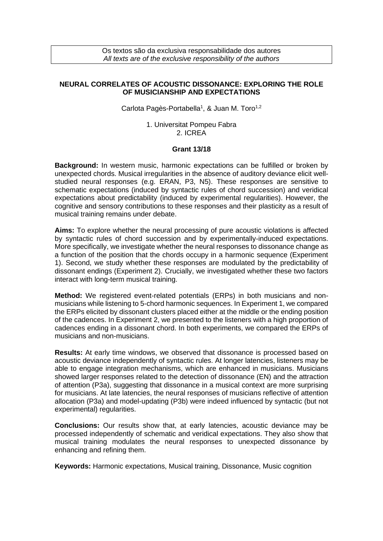Os textos são da exclusiva responsabilidade dos autores *All texts are of the exclusive responsibility of the authors*

## **NEURAL CORRELATES OF ACOUSTIC DISSONANCE: EXPLORING THE ROLE OF MUSICIANSHIP AND EXPECTATIONS**

Carlota Pagès-Portabella<sup>1</sup>, & Juan M. Toro<sup>1,2</sup>

1. Universitat Pompeu Fabra 2. ICREA

## **Grant 13/18**

**Background:** In western music, harmonic expectations can be fulfilled or broken by unexpected chords. Musical irregularities in the absence of auditory deviance elicit wellstudied neural responses (e.g. ERAN, P3, N5). These responses are sensitive to schematic expectations (induced by syntactic rules of chord succession) and veridical expectations about predictability (induced by experimental regularities). However, the cognitive and sensory contributions to these responses and their plasticity as a result of musical training remains under debate.

**Aims:** To explore whether the neural processing of pure acoustic violations is affected by syntactic rules of chord succession and by experimentally-induced expectations. More specifically, we investigate whether the neural responses to dissonance change as a function of the position that the chords occupy in a harmonic sequence (Experiment 1). Second, we study whether these responses are modulated by the predictability of dissonant endings (Experiment 2). Crucially, we investigated whether these two factors interact with long-term musical training.

**Method:** We registered event-related potentials (ERPs) in both musicians and nonmusicians while listening to 5-chord harmonic sequences. In Experiment 1, we compared the ERPs elicited by dissonant clusters placed either at the middle or the ending position of the cadences. In Experiment 2, we presented to the listeners with a high proportion of cadences ending in a dissonant chord. In both experiments, we compared the ERPs of musicians and non-musicians.

**Results:** At early time windows, we observed that dissonance is processed based on acoustic deviance independently of syntactic rules. At longer latencies, listeners may be able to engage integration mechanisms, which are enhanced in musicians. Musicians showed larger responses related to the detection of dissonance (EN) and the attraction of attention (P3a), suggesting that dissonance in a musical context are more surprising for musicians. At late latencies, the neural responses of musicians reflective of attention allocation (P3a) and model-updating (P3b) were indeed influenced by syntactic (but not experimental) regularities.

**Conclusions:** Our results show that, at early latencies, acoustic deviance may be processed independently of schematic and veridical expectations. They also show that musical training modulates the neural responses to unexpected dissonance by enhancing and refining them.

**Keywords:** Harmonic expectations, Musical training, Dissonance, Music cognition